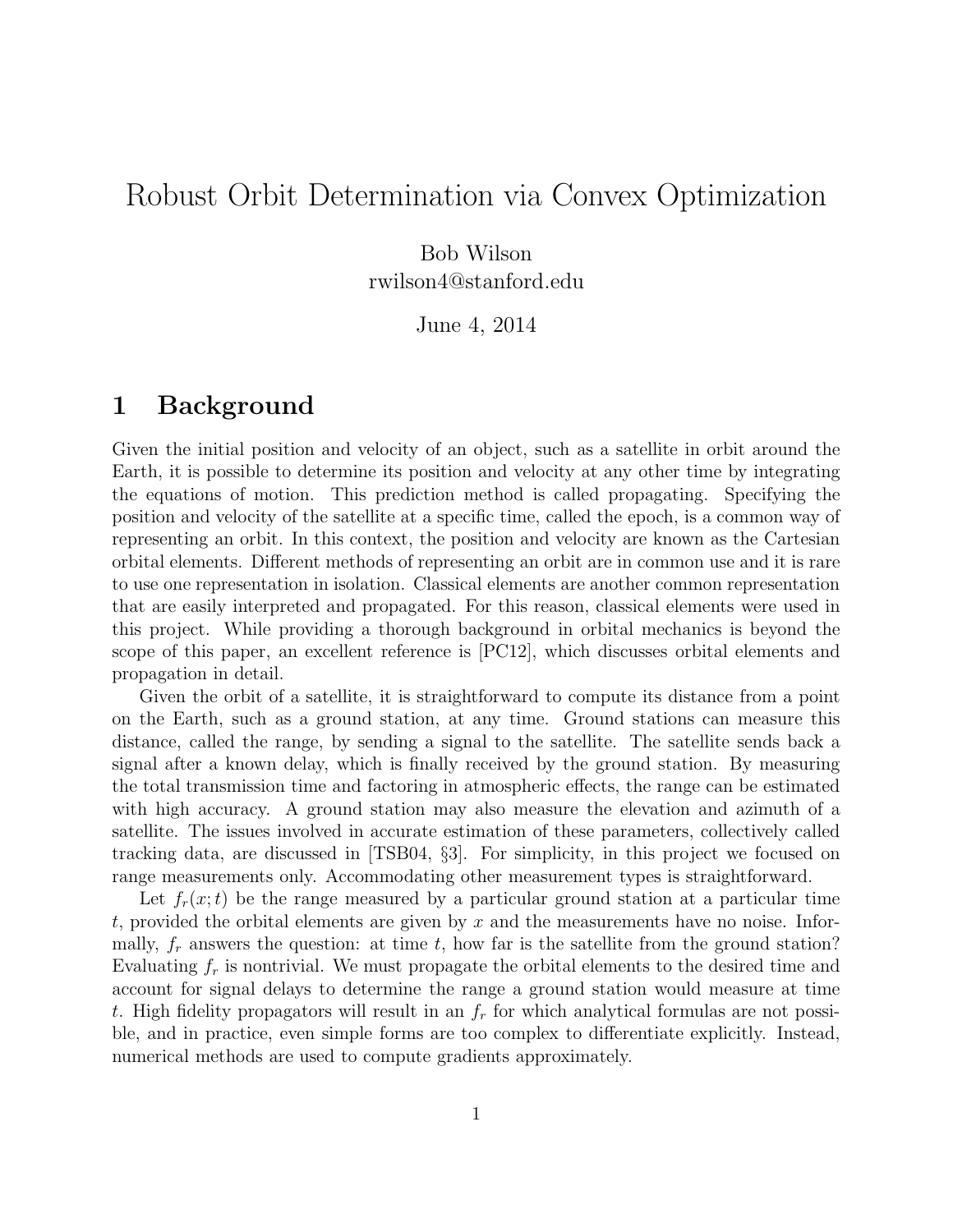# Robust Orbit Determination via Convex Optimization

Bob Wilson rwilson4@stanford.edu

June 4, 2014

## 1 Background

Given the initial position and velocity of an object, such as a satellite in orbit around the Earth, it is possible to determine its position and velocity at any other time by integrating the equations of motion. This prediction method is called propagating. Specifying the position and velocity of the satellite at a specific time, called the epoch, is a common way of representing an orbit. In this context, the position and velocity are known as the Cartesian orbital elements. Different methods of representing an orbit are in common use and it is rare to use one representation in isolation. Classical elements are another common representation that are easily interpreted and propagated. For this reason, classical elements were used in this project. While providing a thorough background in orbital mechanics is beyond the scope of this paper, an excellent reference is [PC12], which discusses orbital elements and propagation in detail.

Given the orbit of a satellite, it is straightforward to compute its distance from a point on the Earth, such as a ground station, at any time. Ground stations can measure this distance, called the range, by sending a signal to the satellite. The satellite sends back a signal after a known delay, which is finally received by the ground station. By measuring the total transmission time and factoring in atmospheric effects, the range can be estimated with high accuracy. A ground station may also measure the elevation and azimuth of a satellite. The issues involved in accurate estimation of these parameters, collectively called tracking data, are discussed in [TSB04, §3]. For simplicity, in this project we focused on range measurements only. Accommodating other measurement types is straightforward.

Let  $f_r(x;t)$  be the range measured by a particular ground station at a particular time t, provided the orbital elements are given by  $x$  and the measurements have no noise. Informally,  $f_r$  answers the question: at time t, how far is the satellite from the ground station? Evaluating  $f_r$  is nontrivial. We must propagate the orbital elements to the desired time and account for signal delays to determine the range a ground station would measure at time t. High fidelity propagators will result in an  $f_r$  for which analytical formulas are not possible, and in practice, even simple forms are too complex to differentiate explicitly. Instead, numerical methods are used to compute gradients approximately.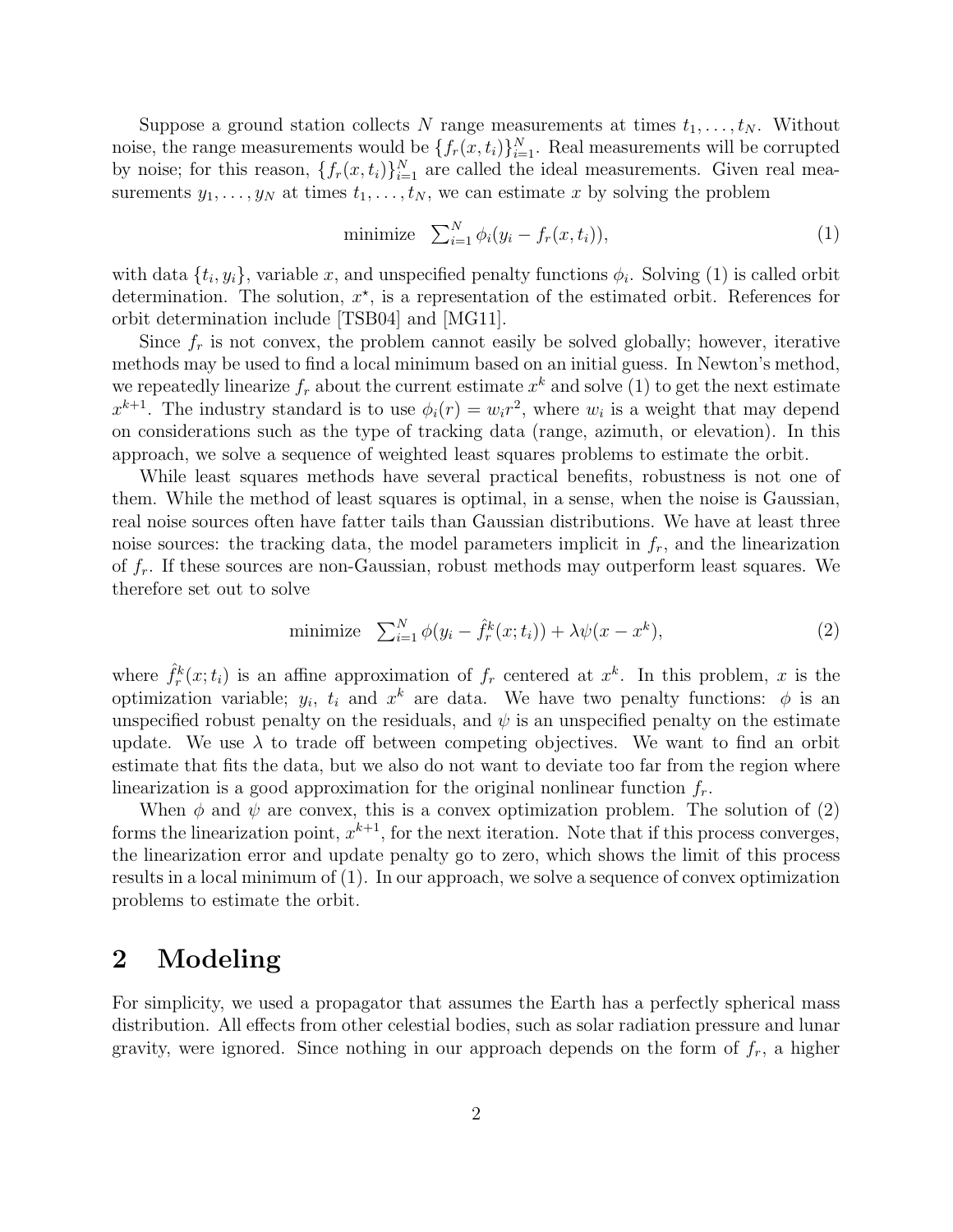Suppose a ground station collects N range measurements at times  $t_1, \ldots, t_N$ . Without noise, the range measurements would be  $\{f_r(x,t_i)\}_{i=1}^N$ . Real measurements will be corrupted by noise; for this reason,  $\{f_r(x,t_i)\}_{i=1}^N$  are called the ideal measurements. Given real measurements  $y_1, \ldots, y_N$  at times  $t_1, \ldots, t_N$ , we can estimate x by solving the problem

$$
\text{minimize} \quad \sum_{i=1}^{N} \phi_i(y_i - f_r(x, t_i)), \tag{1}
$$

with data  $\{t_i, y_i\}$ , variable x, and unspecified penalty functions  $\phi_i$ . Solving (1) is called orbit determination. The solution,  $x^*$ , is a representation of the estimated orbit. References for orbit determination include [TSB04] and [MG11].

Since  $f_r$  is not convex, the problem cannot easily be solved globally; however, iterative methods may be used to find a local minimum based on an initial guess. In Newton's method, we repeatedly linearize  $f_r$  about the current estimate  $x^k$  and solve (1) to get the next estimate  $x^{k+1}$ . The industry standard is to use  $\phi_i(r) = w_i r^2$ , where  $w_i$  is a weight that may depend on considerations such as the type of tracking data (range, azimuth, or elevation). In this approach, we solve a sequence of weighted least squares problems to estimate the orbit.

While least squares methods have several practical benefits, robustness is not one of them. While the method of least squares is optimal, in a sense, when the noise is Gaussian, real noise sources often have fatter tails than Gaussian distributions. We have at least three noise sources: the tracking data, the model parameters implicit in  $f_r$ , and the linearization of  $f_r$ . If these sources are non-Gaussian, robust methods may outperform least squares. We therefore set out to solve

minimize 
$$
\sum_{i=1}^{N} \phi(y_i - \hat{f}_r^k(x; t_i)) + \lambda \psi(x - x^k),
$$
 (2)

where  $\hat{f}_r^k(x;t_i)$  is an affine approximation of  $f_r$  centered at  $x^k$ . In this problem, x is the optimization variable;  $y_i$ ,  $t_i$  and  $x^k$  are data. We have two penalty functions:  $\phi$  is an unspecified robust penalty on the residuals, and  $\psi$  is an unspecified penalty on the estimate update. We use  $\lambda$  to trade off between competing objectives. We want to find an orbit estimate that fits the data, but we also do not want to deviate too far from the region where linearization is a good approximation for the original nonlinear function  $f_r$ .

When  $\phi$  and  $\psi$  are convex, this is a convex optimization problem. The solution of (2) forms the linearization point,  $x^{k+1}$ , for the next iteration. Note that if this process converges, the linearization error and update penalty go to zero, which shows the limit of this process results in a local minimum of (1). In our approach, we solve a sequence of convex optimization problems to estimate the orbit.

## 2 Modeling

For simplicity, we used a propagator that assumes the Earth has a perfectly spherical mass distribution. All effects from other celestial bodies, such as solar radiation pressure and lunar gravity, were ignored. Since nothing in our approach depends on the form of  $f<sub>r</sub>$ , a higher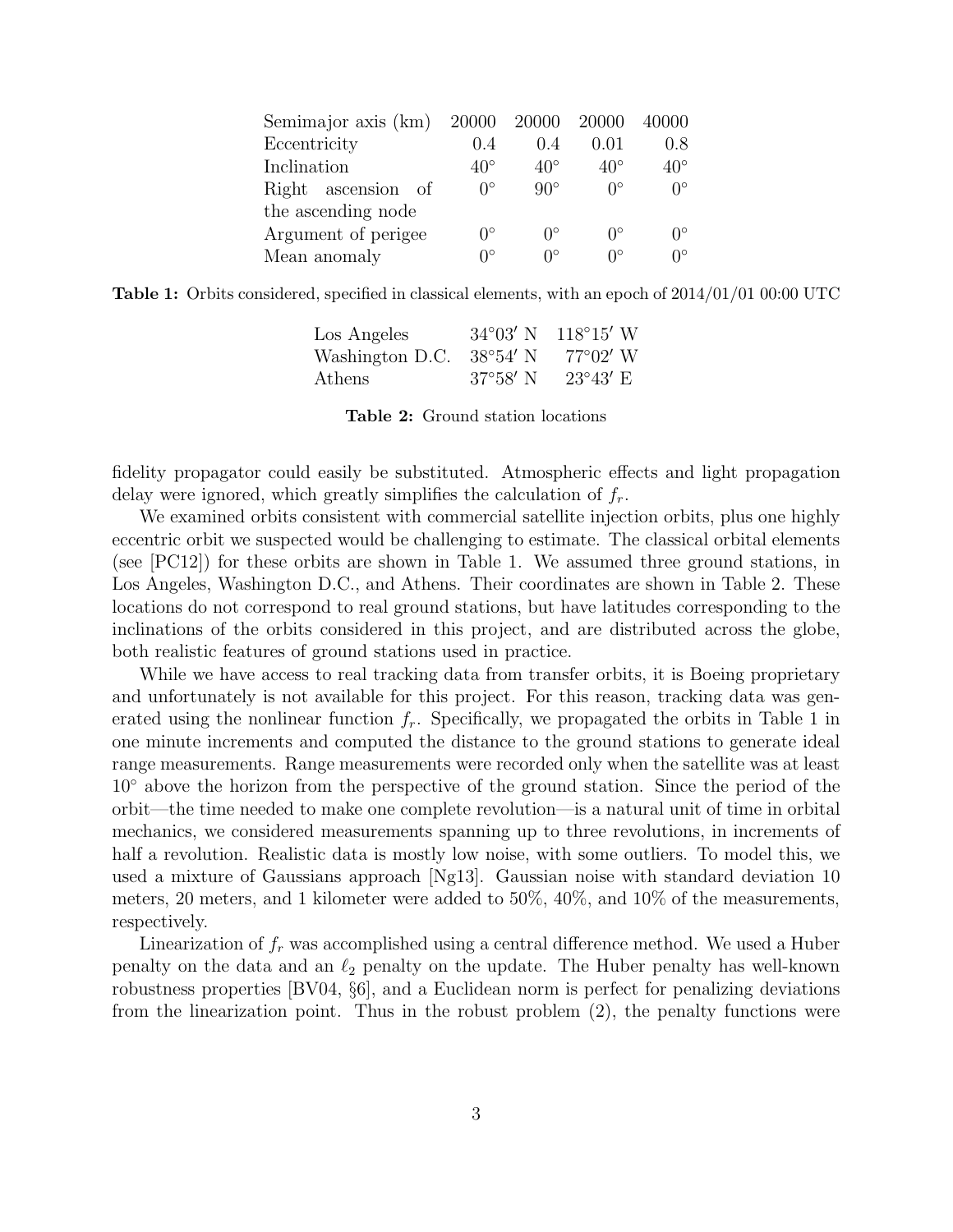| Semimajor axis (km) 20000 20000 20000 |                  |                  |                        | 40000             |
|---------------------------------------|------------------|------------------|------------------------|-------------------|
| Eccentricity                          | 0.4              | 0.4              | 0.01                   | 0.8               |
| Inclination                           | $40^{\circ}$     | $40^{\circ}$     | $40^{\circ}$           | $40^{\circ}$      |
| Right ascension of                    | $\theta^{\circ}$ | $90^\circ$       | $\bigcap$ <sup>o</sup> | $\bigcap$         |
| the ascending node                    |                  |                  |                        |                   |
| Argument of perigee                   | ∩°               | $\Omega^{\circ}$ | ∩°                     | $\bigcap^{\circ}$ |
| Mean anomaly                          |                  | ∩°               | $\bigcap$              | ∩°                |

**Table 1:** Orbits considered, specified in classical elements, with an epoch of  $2014/01/01$  00:00 UTC

| Los Angeles                       |                   | $34^{\circ}03'$ N $118^{\circ}15'$ W |
|-----------------------------------|-------------------|--------------------------------------|
| Washington D.C. $38^{\circ}54'$ N |                   | $77^{\circ}02'$ W                    |
| Athens                            | $37^{\circ}58'$ N | $23^{\circ}43'$ E                    |

Table 2: Ground station locations

fidelity propagator could easily be substituted. Atmospheric effects and light propagation delay were ignored, which greatly simplifies the calculation of  $f_r$ .

We examined orbits consistent with commercial satellite injection orbits, plus one highly eccentric orbit we suspected would be challenging to estimate. The classical orbital elements (see [PC12]) for these orbits are shown in Table 1. We assumed three ground stations, in Los Angeles, Washington D.C., and Athens. Their coordinates are shown in Table 2. These locations do not correspond to real ground stations, but have latitudes corresponding to the inclinations of the orbits considered in this project, and are distributed across the globe, both realistic features of ground stations used in practice.

While we have access to real tracking data from transfer orbits, it is Boeing proprietary and unfortunately is not available for this project. For this reason, tracking data was generated using the nonlinear function  $f_r$ . Specifically, we propagated the orbits in Table 1 in one minute increments and computed the distance to the ground stations to generate ideal range measurements. Range measurements were recorded only when the satellite was at least 10◦ above the horizon from the perspective of the ground station. Since the period of the orbit—the time needed to make one complete revolution—is a natural unit of time in orbital mechanics, we considered measurements spanning up to three revolutions, in increments of half a revolution. Realistic data is mostly low noise, with some outliers. To model this, we used a mixture of Gaussians approach [Ng13]. Gaussian noise with standard deviation 10 meters, 20 meters, and 1 kilometer were added to 50%, 40%, and 10% of the measurements, respectively.

Linearization of  $f_r$  was accomplished using a central difference method. We used a Huber penalty on the data and an  $\ell_2$  penalty on the update. The Huber penalty has well-known robustness properties [BV04, §6], and a Euclidean norm is perfect for penalizing deviations from the linearization point. Thus in the robust problem (2), the penalty functions were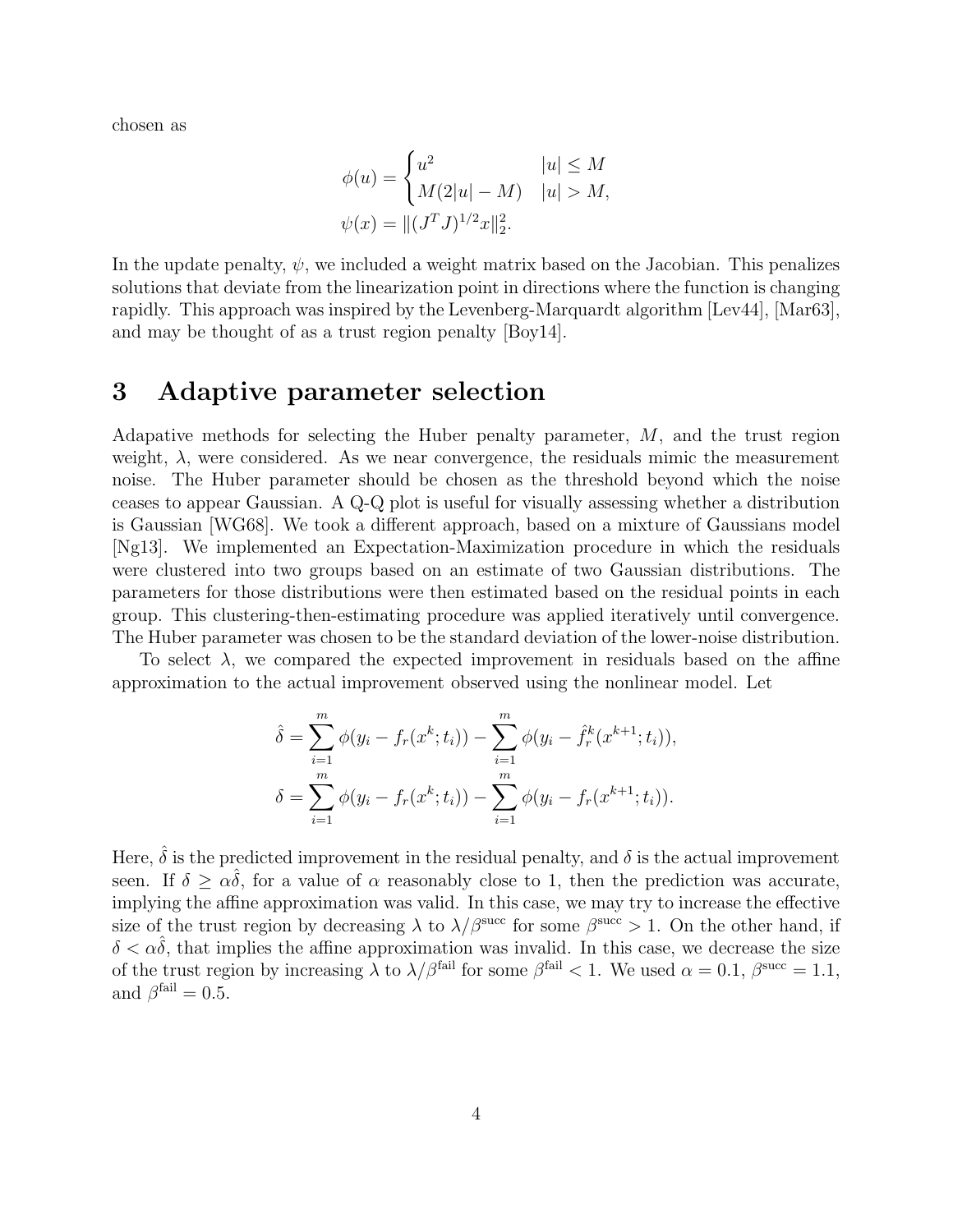chosen as

$$
\phi(u) = \begin{cases} u^2 & |u| \le M \\ M(2|u| - M) & |u| > M, \end{cases}
$$
  

$$
\psi(x) = ||(J^T J)^{1/2} x||_2^2.
$$

In the update penalty,  $\psi$ , we included a weight matrix based on the Jacobian. This penalizes solutions that deviate from the linearization point in directions where the function is changing rapidly. This approach was inspired by the Levenberg-Marquardt algorithm [Lev44], [Mar63], and may be thought of as a trust region penalty [Boy14].

#### 3 Adaptive parameter selection

Adapative methods for selecting the Huber penalty parameter, M, and the trust region weight,  $\lambda$ , were considered. As we near convergence, the residuals mimic the measurement noise. The Huber parameter should be chosen as the threshold beyond which the noise ceases to appear Gaussian. A Q-Q plot is useful for visually assessing whether a distribution is Gaussian [WG68]. We took a different approach, based on a mixture of Gaussians model [Ng13]. We implemented an Expectation-Maximization procedure in which the residuals were clustered into two groups based on an estimate of two Gaussian distributions. The parameters for those distributions were then estimated based on the residual points in each group. This clustering-then-estimating procedure was applied iteratively until convergence. The Huber parameter was chosen to be the standard deviation of the lower-noise distribution.

To select  $\lambda$ , we compared the expected improvement in residuals based on the affine approximation to the actual improvement observed using the nonlinear model. Let

$$
\hat{\delta} = \sum_{i=1}^{m} \phi(y_i - f_r(x^k; t_i)) - \sum_{i=1}^{m} \phi(y_i - \hat{f}_r^k(x^{k+1}; t_i)),
$$
  

$$
\delta = \sum_{i=1}^{m} \phi(y_i - f_r(x^k; t_i)) - \sum_{i=1}^{m} \phi(y_i - f_r(x^{k+1}; t_i)).
$$

Here,  $\hat{\delta}$  is the predicted improvement in the residual penalty, and  $\delta$  is the actual improvement seen. If  $\delta \geq \alpha \delta$ , for a value of  $\alpha$  reasonably close to 1, then the prediction was accurate, implying the affine approximation was valid. In this case, we may try to increase the effective size of the trust region by decreasing  $\lambda$  to  $\lambda/\beta^{\text{succ}}$  for some  $\beta^{\text{succ}} > 1$ . On the other hand, if  $\delta < \alpha \delta$ , that implies the affine approximation was invalid. In this case, we decrease the size of the trust region by increasing  $\lambda$  to  $\lambda/\beta^{\text{fail}}$  for some  $\beta^{\text{fail}} < 1$ . We used  $\alpha = 0.1$ ,  $\beta^{\text{succ}} = 1.1$ , and  $\beta^{\text{fail}} = 0.5$ .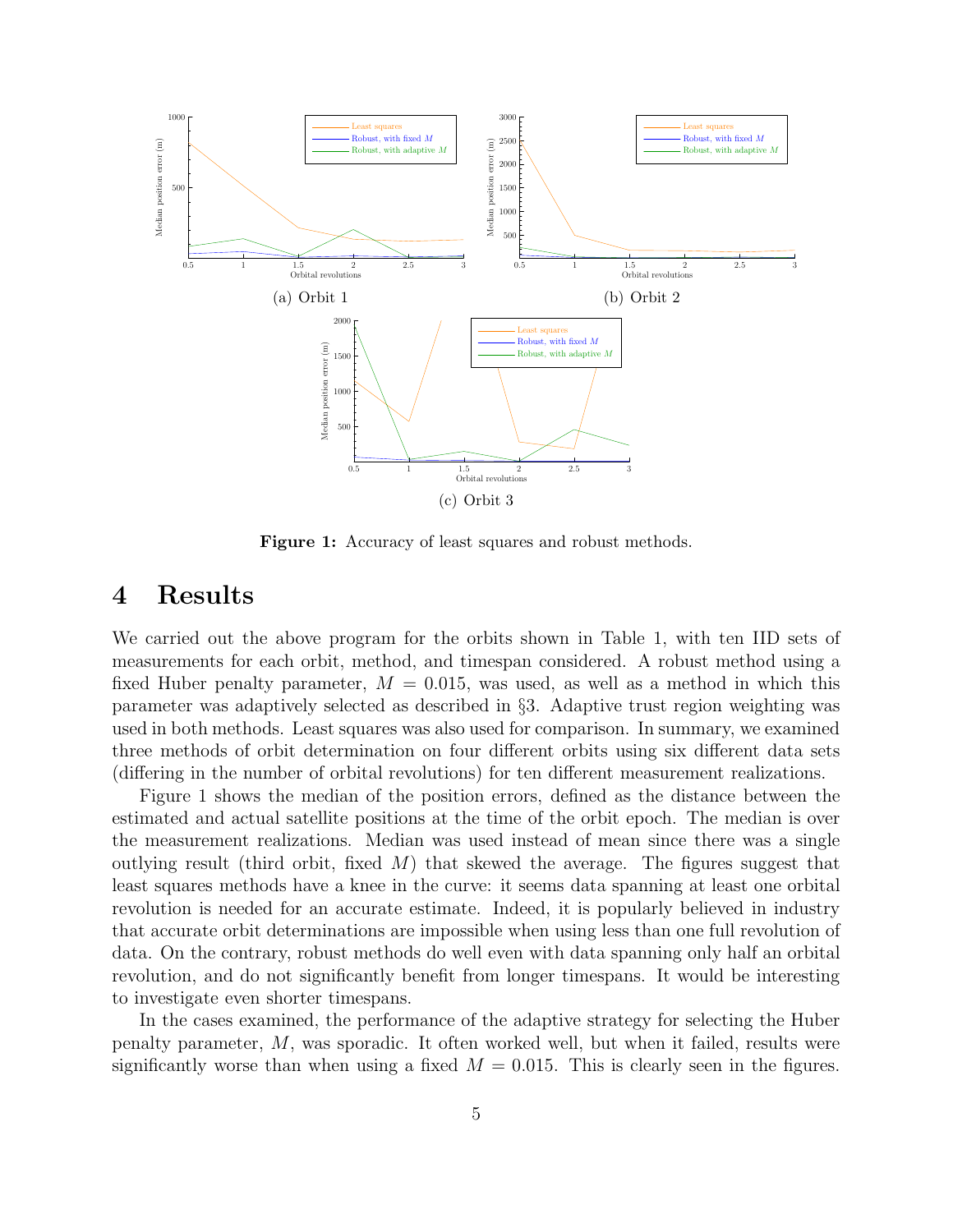

Figure 1: Accuracy of least squares and robust methods.

# 4 Results

We carried out the above program for the orbits shown in Table 1, with ten IID sets of measurements for each orbit, method, and timespan considered. A robust method using a fixed Huber penalty parameter,  $M = 0.015$ , was used, as well as a method in which this parameter was adaptively selected as described in §3. Adaptive trust region weighting was used in both methods. Least squares was also used for comparison. In summary, we examined three methods of orbit determination on four different orbits using six different data sets (differing in the number of orbital revolutions) for ten different measurement realizations.

Figure 1 shows the median of the position errors, defined as the distance between the estimated and actual satellite positions at the time of the orbit epoch. The median is over the measurement realizations. Median was used instead of mean since there was a single outlying result (third orbit, fixed  $M$ ) that skewed the average. The figures suggest that least squares methods have a knee in the curve: it seems data spanning at least one orbital revolution is needed for an accurate estimate. Indeed, it is popularly believed in industry that accurate orbit determinations are impossible when using less than one full revolution of data. On the contrary, robust methods do well even with data spanning only half an orbital revolution, and do not significantly benefit from longer timespans. It would be interesting to investigate even shorter timespans.

In the cases examined, the performance of the adaptive strategy for selecting the Huber penalty parameter, M, was sporadic. It often worked well, but when it failed, results were significantly worse than when using a fixed  $M = 0.015$ . This is clearly seen in the figures.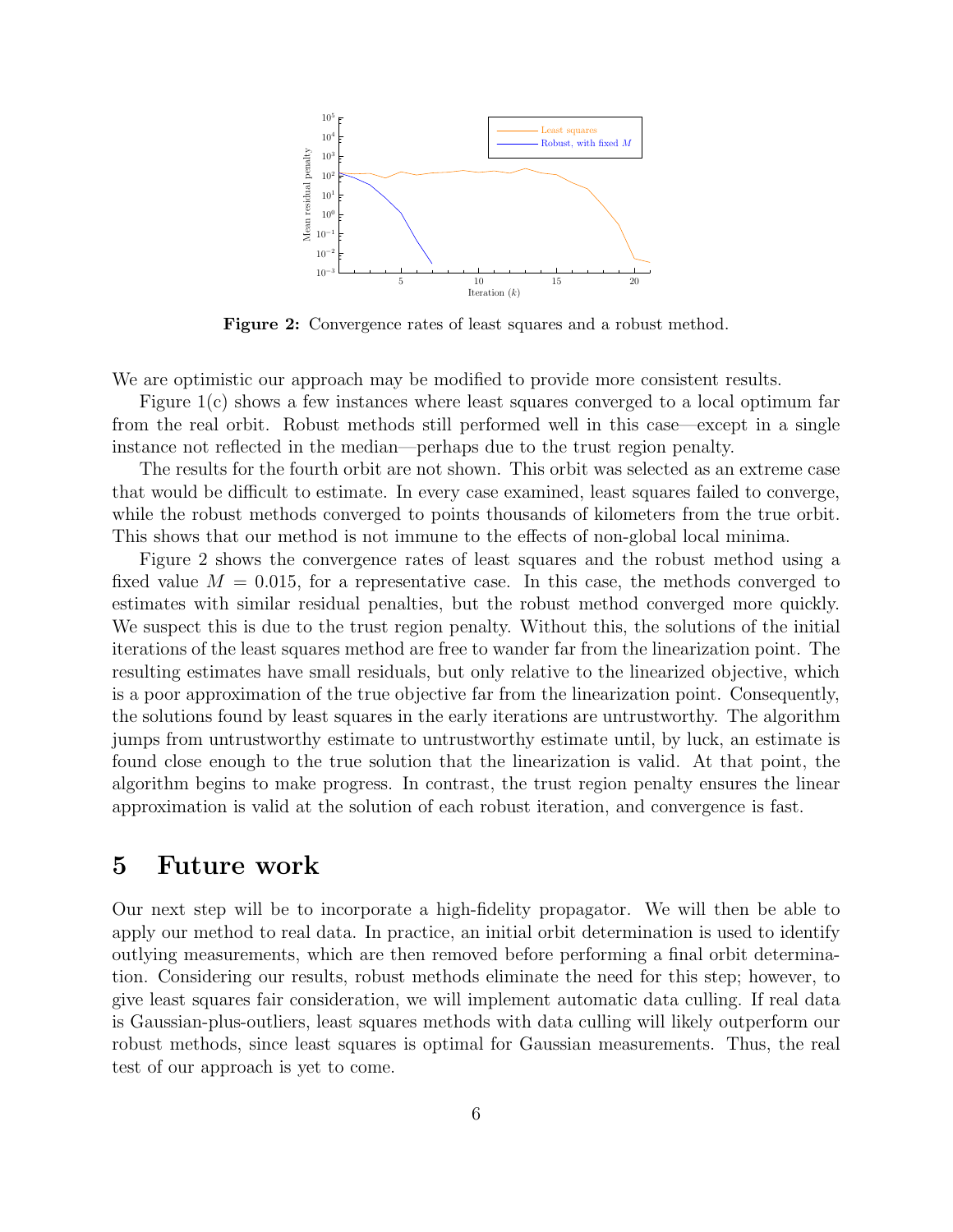

Figure 2: Convergence rates of least squares and a robust method.

We are optimistic our approach may be modified to provide more consistent results.

Figure 1(c) shows a few instances where least squares converged to a local optimum far from the real orbit. Robust methods still performed well in this case—except in a single instance not reflected in the median—perhaps due to the trust region penalty.

The results for the fourth orbit are not shown. This orbit was selected as an extreme case that would be difficult to estimate. In every case examined, least squares failed to converge, while the robust methods converged to points thousands of kilometers from the true orbit. This shows that our method is not immune to the effects of non-global local minima.

Figure 2 shows the convergence rates of least squares and the robust method using a fixed value  $M = 0.015$ , for a representative case. In this case, the methods converged to estimates with similar residual penalties, but the robust method converged more quickly. We suspect this is due to the trust region penalty. Without this, the solutions of the initial iterations of the least squares method are free to wander far from the linearization point. The resulting estimates have small residuals, but only relative to the linearized objective, which is a poor approximation of the true objective far from the linearization point. Consequently, the solutions found by least squares in the early iterations are untrustworthy. The algorithm jumps from untrustworthy estimate to untrustworthy estimate until, by luck, an estimate is found close enough to the true solution that the linearization is valid. At that point, the algorithm begins to make progress. In contrast, the trust region penalty ensures the linear approximation is valid at the solution of each robust iteration, and convergence is fast.

## 5 Future work

Our next step will be to incorporate a high-fidelity propagator. We will then be able to apply our method to real data. In practice, an initial orbit determination is used to identify outlying measurements, which are then removed before performing a final orbit determination. Considering our results, robust methods eliminate the need for this step; however, to give least squares fair consideration, we will implement automatic data culling. If real data is Gaussian-plus-outliers, least squares methods with data culling will likely outperform our robust methods, since least squares is optimal for Gaussian measurements. Thus, the real test of our approach is yet to come.